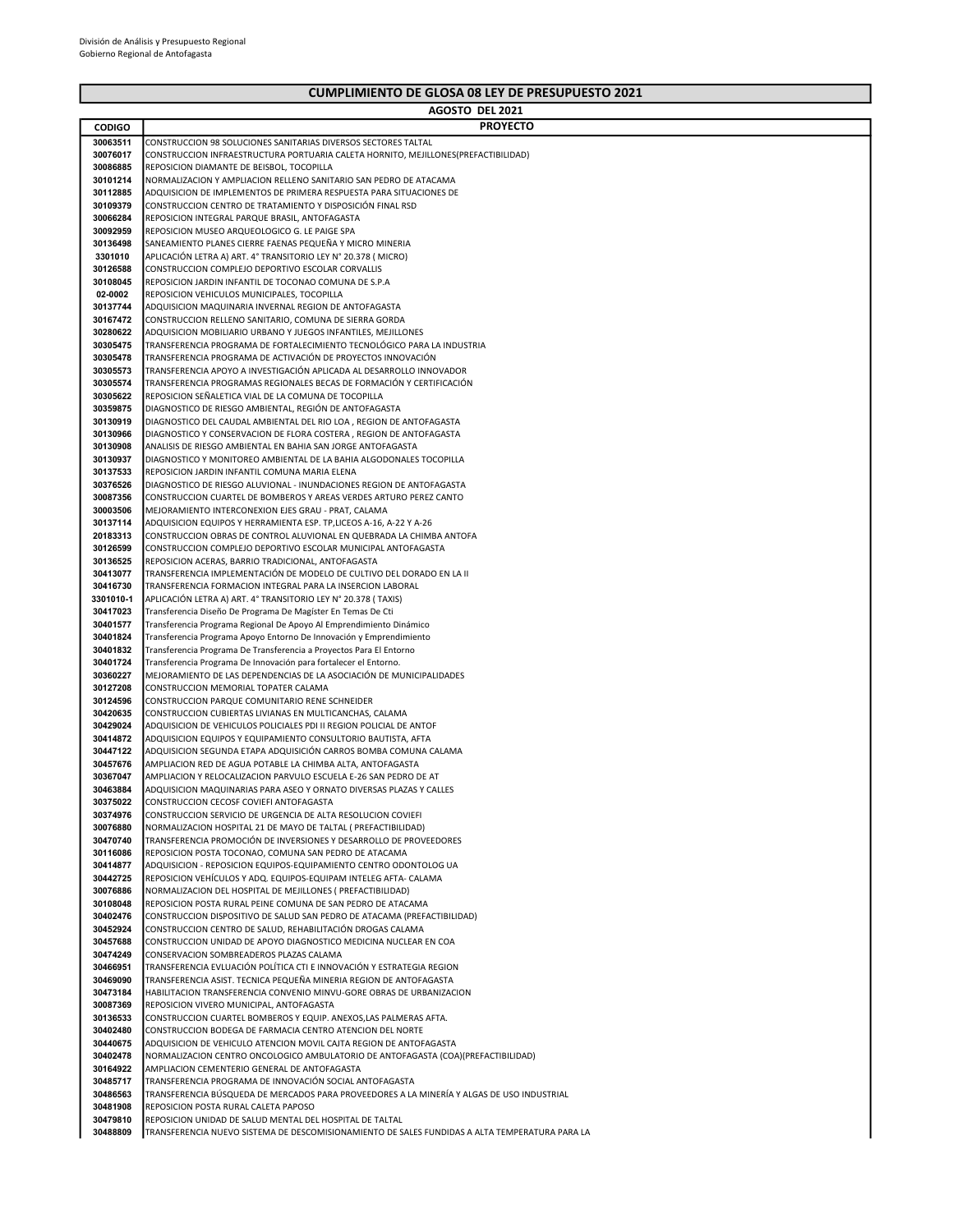## CUMPLIMIENTO DE GLOSA 08 LEY DE PRESUPUESTO 2021

|                      | AGOSTO DEL 2021                                                                                                                       |
|----------------------|---------------------------------------------------------------------------------------------------------------------------------------|
| <b>CODIGO</b>        | <b>PROYECTO</b>                                                                                                                       |
| 30063511             | CONSTRUCCION 98 SOLUCIONES SANITARIAS DIVERSOS SECTORES TALTAL                                                                        |
| 30076017             | CONSTRUCCION INFRAESTRUCTURA PORTUARIA CALETA HORNITO, MEJILLONES(PREFACTIBILIDAD)                                                    |
| 30086885             | REPOSICION DIAMANTE DE BEISBOL, TOCOPILLA                                                                                             |
| 30101214             | NORMALIZACION Y AMPLIACION RELLENO SANITARIO SAN PEDRO DE ATACAMA                                                                     |
| 30112885             | ADQUISICION DE IMPLEMENTOS DE PRIMERA RESPUESTA PARA SITUACIONES DE                                                                   |
| 30109379             | CONSTRUCCION CENTRO DE TRATAMIENTO Y DISPOSICIÓN FINAL RSD                                                                            |
| 30066284             | REPOSICION INTEGRAL PARQUE BRASIL, ANTOFAGASTA                                                                                        |
| 30092959<br>30136498 | REPOSICION MUSEO ARQUEOLOGICO G. LE PAIGE SPA<br>SANEAMIENTO PLANES CIERRE FAENAS PEQUEÑA Y MICRO MINERIA                             |
| 3301010              | APLICACIÓN LETRA A) ART. 4° TRANSITORIO LEY N° 20.378 (MICRO)                                                                         |
| 30126588             | CONSTRUCCION COMPLEJO DEPORTIVO ESCOLAR CORVALLIS                                                                                     |
| 30108045             | REPOSICION JARDIN INFANTIL DE TOCONAO COMUNA DE S.P.A                                                                                 |
| 02-0002              | REPOSICION VEHICULOS MUNICIPALES, TOCOPILLA                                                                                           |
| 30137744             | ADQUISICION MAQUINARIA INVERNAL REGION DE ANTOFAGASTA                                                                                 |
| 30167472             | CONSTRUCCION RELLENO SANITARIO, COMUNA DE SIERRA GORDA                                                                                |
| 30280622             | ADQUISICION MOBILIARIO URBANO Y JUEGOS INFANTILES, MEJILLONES                                                                         |
| 30305475             | TRANSFERENCIA PROGRAMA DE FORTALECIMIENTO TECNOLÓGICO PARA LA INDUSTRIA                                                               |
| 30305478             | TRANSFERENCIA PROGRAMA DE ACTIVACIÓN DE PROYECTOS INNOVACIÓN                                                                          |
| 30305573             | TRANSFERENCIA APOYO A INVESTIGACIÓN APLICADA AL DESARROLLO INNOVADOR                                                                  |
| 30305574<br>30305622 | TRANSFERENCIA PROGRAMAS REGIONALES BECAS DE FORMACIÓN Y CERTIFICACIÓN<br>REPOSICION SEÑALETICA VIAL DE LA COMUNA DE TOCOPILLA         |
| 30359875             | DIAGNOSTICO DE RIESGO AMBIENTAL, REGIÓN DE ANTOFAGASTA                                                                                |
| 30130919             | DIAGNOSTICO DEL CAUDAL AMBIENTAL DEL RIO LOA, REGION DE ANTOFAGASTA                                                                   |
| 30130966             | DIAGNOSTICO Y CONSERVACION DE FLORA COSTERA, REGION DE ANTOFAGASTA                                                                    |
| 30130908             | ANALISIS DE RIESGO AMBIENTAL EN BAHIA SAN JORGE ANTOFAGASTA                                                                           |
| 30130937             | DIAGNOSTICO Y MONITOREO AMBIENTAL DE LA BAHIA ALGODONALES TOCOPILLA                                                                   |
| 30137533             | REPOSICION JARDIN INFANTIL COMUNA MARIA ELENA                                                                                         |
| 30376526             | DIAGNOSTICO DE RIESGO ALUVIONAL - INUNDACIONES REGION DE ANTOFAGASTA                                                                  |
| 30087356             | CONSTRUCCION CUARTEL DE BOMBEROS Y AREAS VERDES ARTURO PEREZ CANTO                                                                    |
| 30003506             | MEJORAMIENTO INTERCONEXION EJES GRAU - PRAT, CALAMA                                                                                   |
| 30137114             | ADQUISICION EQUIPOS Y HERRAMIENTA ESP. TP, LICEOS A-16, A-22 Y A-26                                                                   |
| 20183313<br>30126599 | CONSTRUCCION OBRAS DE CONTROL ALUVIONAL EN QUEBRADA LA CHIMBA ANTOFA<br>CONSTRUCCION COMPLEJO DEPORTIVO ESCOLAR MUNICIPAL ANTOFAGASTA |
| 30136525             | REPOSICION ACERAS, BARRIO TRADICIONAL, ANTOFAGASTA                                                                                    |
| 30413077             | TRANSFERENCIA IMPLEMENTACIÓN DE MODELO DE CULTIVO DEL DORADO EN LA II                                                                 |
| 30416730             | TRANSFERENCIA FORMACION INTEGRAL PARA LA INSERCION LABORAL                                                                            |
| 3301010-1            | APLICACIÓN LETRA A) ART. 4° TRANSITORIO LEY N° 20.378 (TAXIS)                                                                         |
| 30417023             | Transferencia Diseño De Programa De Magíster En Temas De Cti                                                                          |
| 30401577             | Transferencia Programa Regional De Apoyo Al Emprendimiento Dinámico                                                                   |
| 30401824             | Transferencia Programa Apoyo Entorno De Innovación y Emprendimiento                                                                   |
| 30401832             | Transferencia Programa De Transferencia a Proyectos Para El Entorno                                                                   |
| 30401724             | Transferencia Programa De Innovación para fortalecer el Entorno.                                                                      |
| 30360227<br>30127208 | MEJORAMIENTO DE LAS DEPENDENCIAS DE LA ASOCIACIÓN DE MUNICIPALIDADES<br>CONSTRUCCION MEMORIAL TOPATER CALAMA                          |
| 30124596             | CONSTRUCCION PARQUE COMUNITARIO RENE SCHNEIDER                                                                                        |
| 30420635             | CONSTRUCCION CUBIERTAS LIVIANAS EN MULTICANCHAS, CALAMA                                                                               |
| 30429024             | ADQUISICION DE VEHICULOS POLICIALES PDI II REGION POLICIAL DE ANTOF                                                                   |
| 30414872             | ADQUISICION EQUIPOS Y EQUIPAMIENTO CONSULTORIO BAUTISTA, AFTA                                                                         |
| 30447122             | ADQUISICION SEGUNDA ETAPA ADQUISICIÓN CARROS BOMBA COMUNA CALAMA                                                                      |
| 30457676             | AMPLIACION RED DE AGUA POTABLE LA CHIMBA ALTA, ANTOFAGASTA                                                                            |
| 30367047             | AMPLIACION Y RELOCALIZACION PARVULO ESCUELA E-26 SAN PEDRO DE AT                                                                      |
| 30463884             | ADQUISICION MAQUINARIAS PARA ASEO Y ORNATO DIVERSAS PLAZAS Y CALLES                                                                   |
| 30375022             | CONSTRUCCION CECOSF COVIEFI ANTOFAGASTA                                                                                               |
| 30374976<br>30076880 | CONSTRUCCION SERVICIO DE URGENCIA DE ALTA RESOLUCION COVIEFI<br>NORMALIZACION HOSPITAL 21 DE MAYO DE TALTAL ( PREFACTIBILIDAD)        |
| 30470740             | TRANSFERENCIA PROMOCIÓN DE INVERSIONES Y DESARROLLO DE PROVEEDORES                                                                    |
| 30116086             | REPOSICION POSTA TOCONAO, COMUNA SAN PEDRO DE ATACAMA                                                                                 |
| 30414877             | ADQUISICION - REPOSICION EQUIPOS-EQUIPAMIENTO CENTRO ODONTOLOG UA                                                                     |
| 30442725             | REPOSICION VEHÍCULOS Y ADQ. EQUIPOS-EQUIPAM INTELEG AFTA- CALAMA                                                                      |
| 30076886             | NORMALIZACION DEL HOSPITAL DE MEJILLONES (PREFACTIBILIDAD)                                                                            |
| 30108048             | REPOSICION POSTA RURAL PEINE COMUNA DE SAN PEDRO DE ATACAMA                                                                           |
| 30402476             | CONSTRUCCION DISPOSITIVO DE SALUD SAN PEDRO DE ATACAMA (PREFACTIBILIDAD)                                                              |
| 30452924             | CONSTRUCCION CENTRO DE SALUD, REHABILITACIÓN DROGAS CALAMA                                                                            |
| 30457688<br>30474249 | CONSTRUCCION UNIDAD DE APOYO DIAGNOSTICO MEDICINA NUCLEAR EN COA<br>CONSERVACION SOMBREADEROS PLAZAS CALAMA                           |
| 30466951             | TRANSFERENCIA EVLUACIÓN POLÍTICA CTI E INNOVACIÓN Y ESTRATEGIA REGION                                                                 |
| 30469090             | TRANSFERENCIA ASIST. TECNICA PEQUEÑA MINERIA REGION DE ANTOFAGASTA                                                                    |
| 30473184             | HABILITACION TRANSFERENCIA CONVENIO MINVU-GORE OBRAS DE URBANIZACION                                                                  |
| 30087369             | REPOSICION VIVERO MUNICIPAL, ANTOFAGASTA                                                                                              |
| 30136533             | CONSTRUCCION CUARTEL BOMBEROS Y EQUIP. ANEXOS, LAS PALMERAS AFTA.                                                                     |
| 30402480             | CONSTRUCCION BODEGA DE FARMACIA CENTRO ATENCION DEL NORTE                                                                             |
| 30440675             | ADQUISICION DE VEHICULO ATENCION MOVIL CAJTA REGION DE ANTOFAGASTA                                                                    |
| 30402478             | NORMALIZACION CENTRO ONCOLOGICO AMBULATORIO DE ANTOFAGASTA (COA)(PREFACTIBILIDAD)                                                     |
| 30164922<br>30485717 | AMPLIACION CEMENTERIO GENERAL DE ANTOFAGASTA<br>TRANSFERENCIA PROGRAMA DE INNOVACIÓN SOCIAL ANTOFAGASTA                               |
| 30486563             | TRANSFERENCIA BÚSQUEDA DE MERCADOS PARA PROVEEDORES A LA MINERÍA Y ALGAS DE USO INDUSTRIAL                                            |
| 30481908             | REPOSICION POSTA RURAL CALETA PAPOSO                                                                                                  |
| 30479810             | REPOSICION UNIDAD DE SALUD MENTAL DEL HOSPITAL DE TALTAL                                                                              |
| 30488809             | TRANSFERENCIA NUEVO SISTEMA DE DESCOMISIONAMIENTO DE SALES FUNDIDAS A ALTA TEMPERATURA PARA LA                                        |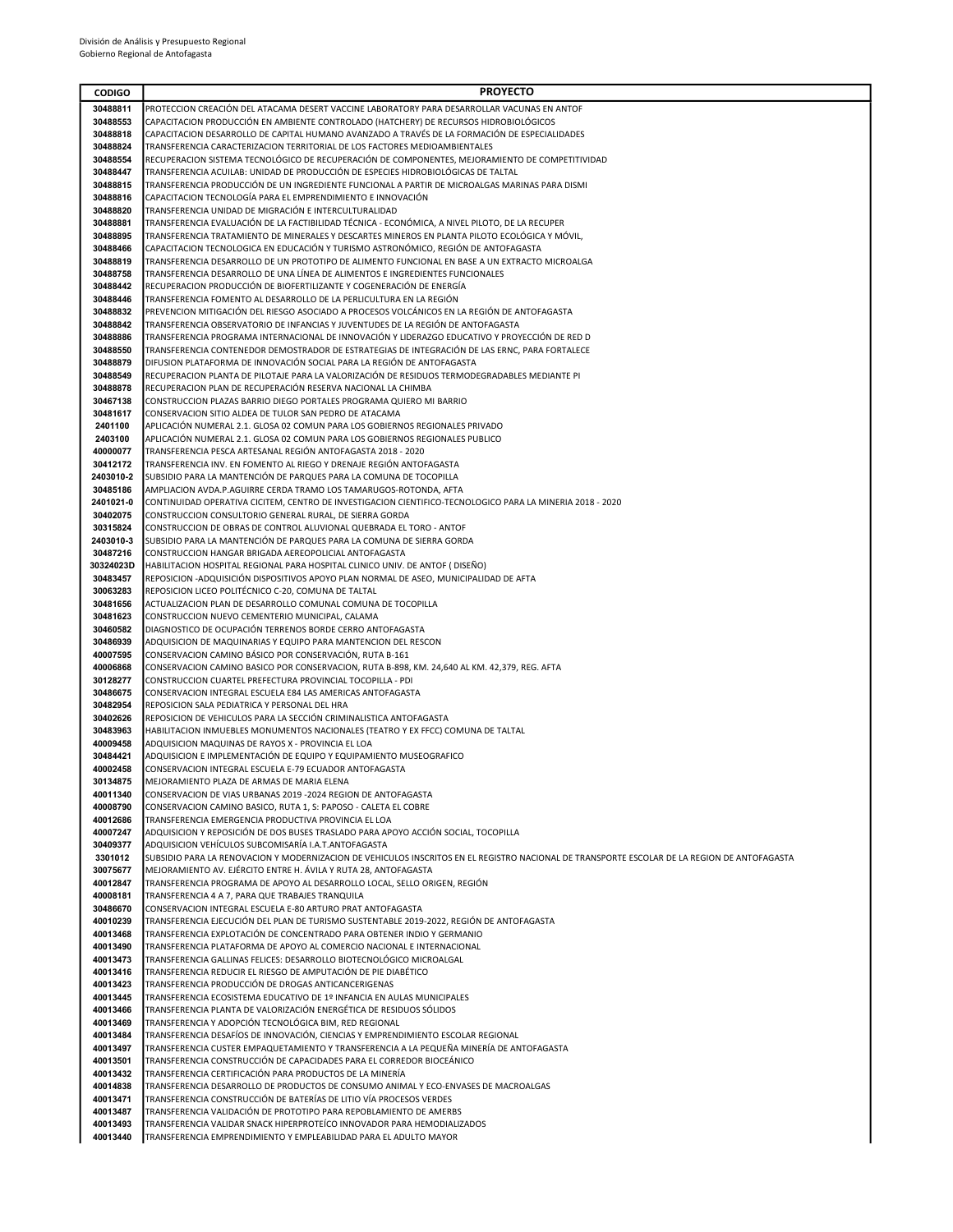| <b>CODIGO</b>         | <b>PROYECTO</b>                                                                                                                                                                                                 |
|-----------------------|-----------------------------------------------------------------------------------------------------------------------------------------------------------------------------------------------------------------|
| 30488811              | PROTECCION CREACIÓN DEL ATACAMA DESERT VACCINE LABORATORY PARA DESARROLLAR VACUNAS EN ANTOF                                                                                                                     |
| 30488553              | CAPACITACION PRODUCCIÓN EN AMBIENTE CONTROLADO (HATCHERY) DE RECURSOS HIDROBIOLÓGICOS                                                                                                                           |
| 30488818              | CAPACITACION DESARROLLO DE CAPITAL HUMANO AVANZADO A TRAVÉS DE LA FORMACIÓN DE ESPECIALIDADES                                                                                                                   |
| 30488824              | TRANSFERENCIA CARACTERIZACION TERRITORIAL DE LOS FACTORES MEDIOAMBIENTALES                                                                                                                                      |
| 30488554              | RECUPERACION SISTEMA TECNOLÓGICO DE RECUPERACIÓN DE COMPONENTES, MEJORAMIENTO DE COMPETITIVIDAD                                                                                                                 |
| 30488447              | TRANSFERENCIA ACUILAB: UNIDAD DE PRODUCCIÓN DE ESPECIES HIDROBIOLÓGICAS DE TALTAL                                                                                                                               |
| 30488815<br>30488816  | TRANSFERENCIA PRODUCCIÓN DE UN INGREDIENTE FUNCIONAL A PARTIR DE MICROALGAS MARINAS PARA DISMI<br>CAPACITACION TECNOLOGÍA PARA EL EMPRENDIMIENTO E INNOVACIÓN                                                   |
| 30488820              | TRANSFERENCIA UNIDAD DE MIGRACIÓN E INTERCULTURALIDAD                                                                                                                                                           |
| 30488881              | TRANSFERENCIA EVALUACIÓN DE LA FACTIBILIDAD TÉCNICA - ECONÓMICA, A NIVEL PILOTO, DE LA RECUPER                                                                                                                  |
| 30488895              | TRANSFERENCIA TRATAMIENTO DE MINERALES Y DESCARTES MINEROS EN PLANTA PILOTO ECOLÓGICA Y MÓVIL,                                                                                                                  |
| 30488466              | CAPACITACION TECNOLOGICA EN EDUCACIÓN Y TURISMO ASTRONÓMICO, REGIÓN DE ANTOFAGASTA                                                                                                                              |
| 30488819              | TRANSFERENCIA DESARROLLO DE UN PROTOTIPO DE ALIMENTO FUNCIONAL EN BASE A UN EXTRACTO MICROALGA                                                                                                                  |
| 30488758              | TRANSFERENCIA DESARROLLO DE UNA LÍNEA DE ALIMENTOS E INGREDIENTES FUNCIONALES                                                                                                                                   |
| 30488442              | RECUPERACION PRODUCCIÓN DE BIOFERTILIZANTE Y COGENERACIÓN DE ENERGÍA                                                                                                                                            |
| 30488446              | TRANSFERENCIA FOMENTO AL DESARROLLO DE LA PERLICULTURA EN LA REGIÓN                                                                                                                                             |
| 30488832              | PREVENCION MITIGACIÓN DEL RIESGO ASOCIADO A PROCESOS VOLCÁNICOS EN LA REGIÓN DE ANTOFAGASTA                                                                                                                     |
| 30488842<br>30488886  | TRANSFERENCIA OBSERVATORIO DE INFANCIAS Y JUVENTUDES DE LA REGIÓN DE ANTOFAGASTA<br>TRANSFERENCIA PROGRAMA INTERNACIONAL DE INNOVACIÓN Y LIDERAZGO EDUCATIVO Y PROYECCIÓN DE RED D                              |
| 30488550              | TRANSFERENCIA CONTENEDOR DEMOSTRADOR DE ESTRATEGIAS DE INTEGRACIÓN DE LAS ERNC, PARA FORTALECE                                                                                                                  |
| 30488879              | DIFUSION PLATAFORMA DE INNOVACIÓN SOCIAL PARA LA REGIÓN DE ANTOFAGASTA                                                                                                                                          |
| 30488549              | RECUPERACION PLANTA DE PILOTAJE PARA LA VALORIZACIÓN DE RESIDUOS TERMODEGRADABLES MEDIANTE PI                                                                                                                   |
| 30488878              | RECUPERACION PLAN DE RECUPERACIÓN RESERVA NACIONAL LA CHIMBA                                                                                                                                                    |
| 30467138              | CONSTRUCCION PLAZAS BARRIO DIEGO PORTALES PROGRAMA QUIERO MI BARRIO                                                                                                                                             |
| 30481617              | CONSERVACION SITIO ALDEA DE TULOR SAN PEDRO DE ATACAMA                                                                                                                                                          |
| 2401100               | APLICACIÓN NUMERAL 2.1. GLOSA 02 COMUN PARA LOS GOBIERNOS REGIONALES PRIVADO                                                                                                                                    |
| 2403100               | APLICACIÓN NUMERAL 2.1. GLOSA 02 COMUN PARA LOS GOBIERNOS REGIONALES PUBLICO                                                                                                                                    |
| 40000077              | TRANSFERENCIA PESCA ARTESANAL REGIÓN ANTOFAGASTA 2018 - 2020                                                                                                                                                    |
| 30412172              | TRANSFERENCIA INV. EN FOMENTO AL RIEGO Y DRENAJE REGIÓN ANTOFAGASTA                                                                                                                                             |
| 2403010-2<br>30485186 | SUBSIDIO PARA LA MANTENCIÓN DE PARQUES PARA LA COMUNA DE TOCOPILLA<br>AMPLIACION AVDA.P.AGUIRRE CERDA TRAMO LOS TAMARUGOS-ROTONDA, AFTA                                                                         |
| 2401021-0             | CONTINUIDAD OPERATIVA CICITEM, CENTRO DE INVESTIGACION CIENTIFICO-TECNOLOGICO PARA LA MINERIA 2018 - 2020                                                                                                       |
| 30402075              | CONSTRUCCION CONSULTORIO GENERAL RURAL, DE SIERRA GORDA                                                                                                                                                         |
| 30315824              | CONSTRUCCION DE OBRAS DE CONTROL ALUVIONAL QUEBRADA EL TORO - ANTOF                                                                                                                                             |
| 2403010-3             | SUBSIDIO PARA LA MANTENCIÓN DE PARQUES PARA LA COMUNA DE SIERRA GORDA                                                                                                                                           |
| 30487216              | CONSTRUCCION HANGAR BRIGADA AEREOPOLICIAL ANTOFAGASTA                                                                                                                                                           |
| 30324023D             | HABILITACION HOSPITAL REGIONAL PARA HOSPITAL CLINICO UNIV. DE ANTOF (DISEÑO)                                                                                                                                    |
| 30483457              | REPOSICION -ADQUISICIÓN DISPOSITIVOS APOYO PLAN NORMAL DE ASEO, MUNICIPALIDAD DE AFTA                                                                                                                           |
| 30063283              | REPOSICION LICEO POLITÉCNICO C-20, COMUNA DE TALTAL                                                                                                                                                             |
| 30481656<br>30481623  | ACTUALIZACION PLAN DE DESARROLLO COMUNAL COMUNA DE TOCOPILLA<br>CONSTRUCCION NUEVO CEMENTERIO MUNICIPAL, CALAMA                                                                                                 |
| 30460582              | DIAGNOSTICO DE OCUPACIÓN TERRENOS BORDE CERRO ANTOFAGASTA                                                                                                                                                       |
| 30486939              | ADQUISICION DE MAQUINARIAS Y EQUIPO PARA MANTENCION DEL RESCON                                                                                                                                                  |
| 40007595              | CONSERVACION CAMINO BÁSICO POR CONSERVACIÓN, RUTA B-161                                                                                                                                                         |
| 40006868              | CONSERVACION CAMINO BASICO POR CONSERVACION, RUTA B-898, KM. 24,640 AL KM. 42,379, REG. AFTA                                                                                                                    |
| 30128277              | CONSTRUCCION CUARTEL PREFECTURA PROVINCIAL TOCOPILLA - PDI                                                                                                                                                      |
| 30486675              | CONSERVACION INTEGRAL ESCUELA E84 LAS AMERICAS ANTOFAGASTA                                                                                                                                                      |
| 30482954              | REPOSICION SALA PEDIATRICA Y PERSONAL DEL HRA                                                                                                                                                                   |
| 30402626              | REPOSICION DE VEHICULOS PARA LA SECCIÓN CRIMINALISTICA ANTOFAGASTA                                                                                                                                              |
| 30483963<br>40009458  | HABILITACION INMUEBLES MONUMENTOS NACIONALES (TEATRO Y EX FFCC) COMUNA DE TALTAL<br>ADQUISICION MAQUINAS DE RAYOS X - PROVINCIA EL LOA                                                                          |
| 30484421              | ADQUISICION E IMPLEMENTACIÓN DE EQUIPO Y EQUIPAMIENTO MUSEOGRAFICO                                                                                                                                              |
| 40002458              | CONSERVACION INTEGRAL ESCUELA E-79 ECUADOR ANTOFAGASTA                                                                                                                                                          |
| 30134875              | MEJORAMIENTO PLAZA DE ARMAS DE MARIA ELENA                                                                                                                                                                      |
| 40011340              | CONSERVACION DE VIAS URBANAS 2019 -2024 REGION DE ANTOFAGASTA                                                                                                                                                   |
| 40008790              | CONSERVACION CAMINO BASICO, RUTA 1, S: PAPOSO - CALETA EL COBRE                                                                                                                                                 |
| 40012686              | TRANSFERENCIA EMERGENCIA PRODUCTIVA PROVINCIA EL LOA                                                                                                                                                            |
| 40007247              | ADQUISICION Y REPOSICIÓN DE DOS BUSES TRASLADO PARA APOYO ACCIÓN SOCIAL, TOCOPILLA                                                                                                                              |
| 30409377              | ADQUISICION VEHÍCULOS SUBCOMISARÍA I.A.T.ANTOFAGASTA                                                                                                                                                            |
| 3301012<br>30075677   | SUBSIDIO PARA LA RENOVACION Y MODERNIZACION DE VEHICULOS INSCRITOS EN EL REGISTRO NACIONAL DE TRANSPORTE ESCOLAR DE LA REGION DE ANTOFAGASTA<br>MEJORAMIENTO AV. EJÉRCITO ENTRE H. ÁVILA Y RUTA 28, ANTOFAGASTA |
| 40012847              | TRANSFERENCIA PROGRAMA DE APOYO AL DESARROLLO LOCAL, SELLO ORIGEN, REGIÓN                                                                                                                                       |
| 40008181              | TRANSFERENCIA 4 A 7, PARA QUE TRABAJES TRANQUILA                                                                                                                                                                |
| 30486670              | CONSERVACION INTEGRAL ESCUELA E-80 ARTURO PRAT ANTOFAGASTA                                                                                                                                                      |
| 40010239              | TRANSFERENCIA EJECUCIÓN DEL PLAN DE TURISMO SUSTENTABLE 2019-2022, REGIÓN DE ANTOFAGASTA                                                                                                                        |
| 40013468              | TRANSFERENCIA EXPLOTACIÓN DE CONCENTRADO PARA OBTENER INDIO Y GERMANIO                                                                                                                                          |
| 40013490              | TRANSFERENCIA PLATAFORMA DE APOYO AL COMERCIO NACIONAL E INTERNACIONAL                                                                                                                                          |
| 40013473              | TRANSFERENCIA GALLINAS FELICES: DESARROLLO BIOTECNOLÓGICO MICROALGAL                                                                                                                                            |
| 40013416              | TRANSFERENCIA REDUCIR EL RIESGO DE AMPUTACIÓN DE PIE DIABÉTICO                                                                                                                                                  |
| 40013423<br>40013445  | TRANSFERENCIA PRODUCCIÓN DE DROGAS ANTICANCERIGENAS<br>TRANSFERENCIA ECOSISTEMA EDUCATIVO DE 1º INFANCIA EN AULAS MUNICIPALES                                                                                   |
| 40013466              | TRANSFERENCIA PLANTA DE VALORIZACIÓN ENERGÉTICA DE RESIDUOS SÓLIDOS                                                                                                                                             |
| 40013469              | TRANSFERENCIA Y ADOPCIÓN TECNOLÓGICA BIM, RED REGIONAL                                                                                                                                                          |
| 40013484              | TRANSFERENCIA DESAFÍOS DE INNOVACIÓN, CIENCIAS Y EMPRENDIMIENTO ESCOLAR REGIONAL                                                                                                                                |
| 40013497              | TRANSFERENCIA CUSTER EMPAQUETAMIENTO Y TRANSFERENCIA A LA PEQUEÑA MINERÍA DE ANTOFAGASTA                                                                                                                        |
| 40013501              | TRANSFERENCIA CONSTRUCCIÓN DE CAPACIDADES PARA EL CORREDOR BIOCEÁNICO                                                                                                                                           |
| 40013432              | TRANSFERENCIA CERTIFICACIÓN PARA PRODUCTOS DE LA MINERÍA                                                                                                                                                        |
| 40014838              | TRANSFERENCIA DESARROLLO DE PRODUCTOS DE CONSUMO ANIMAL Y ECO-ENVASES DE MACROALGAS                                                                                                                             |
| 40013471              | TRANSFERENCIA CONSTRUCCIÓN DE BATERÍAS DE LITIO VÍA PROCESOS VERDES                                                                                                                                             |
| 40013487<br>40013493  | TRANSFERENCIA VALIDACIÓN DE PROTOTIPO PARA REPOBLAMIENTO DE AMERBS<br>TRANSFERENCIA VALIDAR SNACK HIPERPROTEÍCO INNOVADOR PARA HEMODIALIZADOS                                                                   |
| 40013440              | TRANSFERENCIA EMPRENDIMIENTO Y EMPLEABILIDAD PARA EL ADULTO MAYOR                                                                                                                                               |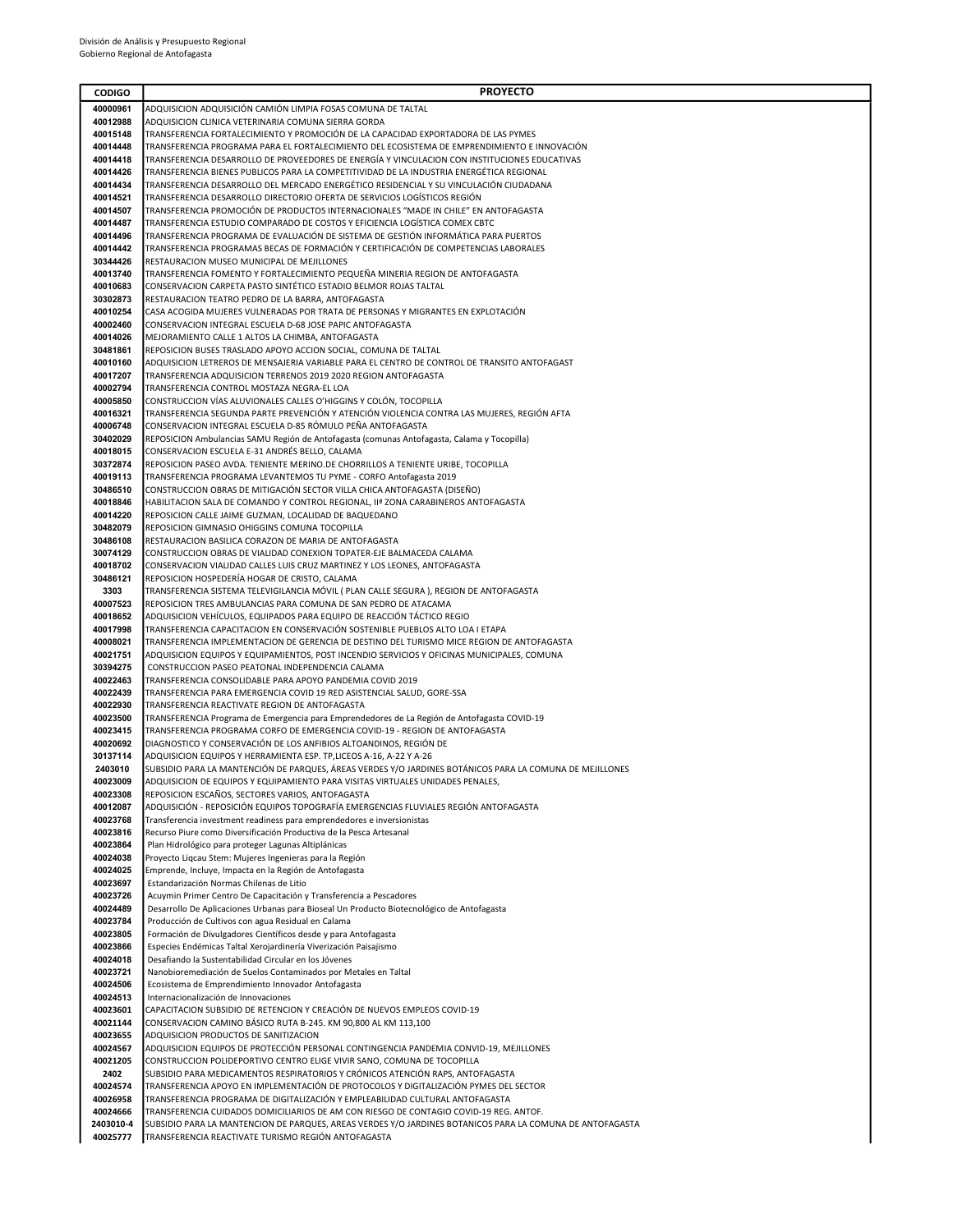| <b>CODIGO</b>        | <b>PROYECTO</b>                                                                                                                                                     |
|----------------------|---------------------------------------------------------------------------------------------------------------------------------------------------------------------|
| 40000961             | ADQUISICION ADQUISICIÓN CAMIÓN LIMPIA FOSAS COMUNA DE TALTAL                                                                                                        |
| 40012988             | ADQUISICION CLINICA VETERINARIA COMUNA SIERRA GORDA                                                                                                                 |
| 40015148             | TRANSFERENCIA FORTALECIMIENTO Y PROMOCIÓN DE LA CAPACIDAD EXPORTADORA DE LAS PYMES                                                                                  |
| 40014448             | TRANSFERENCIA PROGRAMA PARA EL FORTALECIMIENTO DEL ECOSISTEMA DE EMPRENDIMIENTO E INNOVACIÓN                                                                        |
| 40014418             | TRANSFERENCIA DESARROLLO DE PROVEEDORES DE ENERGÍA Y VINCULACION CON INSTITUCIONES EDUCATIVAS                                                                       |
| 40014426             | TRANSFERENCIA BIENES PUBLICOS PARA LA COMPETITIVIDAD DE LA INDUSTRIA ENERGÉTICA REGIONAL                                                                            |
| 40014434<br>40014521 | TRANSFERENCIA DESARROLLO DEL MERCADO ENERGÉTICO RESIDENCIAL Y SU VINCULACIÓN CIUDADANA<br>TRANSFERENCIA DESARROLLO DIRECTORIO OFERTA DE SERVICIOS LOGÍSTICOS REGIÓN |
| 40014507             | TRANSFERENCIA PROMOCIÓN DE PRODUCTOS INTERNACIONALES "MADE IN CHILE" EN ANTOFAGASTA                                                                                 |
| 40014487             | TRANSFERENCIA ESTUDIO COMPARADO DE COSTOS Y EFICIENCIA LOGÍSTICA COMEX CBTC                                                                                         |
| 40014496             | TRANSFERENCIA PROGRAMA DE EVALUACIÓN DE SISTEMA DE GESTIÓN INFORMÁTICA PARA PUERTOS                                                                                 |
| 40014442             | TRANSFERENCIA PROGRAMAS BECAS DE FORMACIÓN Y CERTIFICACIÓN DE COMPETENCIAS LABORALES                                                                                |
| 30344426             | RESTAURACION MUSEO MUNICIPAL DE MEJILLONES                                                                                                                          |
| 40013740             | TRANSFERENCIA FOMENTO Y FORTALECIMIENTO PEQUEÑA MINERIA REGION DE ANTOFAGASTA                                                                                       |
| 40010683             | CONSERVACION CARPETA PASTO SINTÉTICO ESTADIO BELMOR ROJAS TALTAL                                                                                                    |
| 30302873             | RESTAURACION TEATRO PEDRO DE LA BARRA, ANTOFAGASTA                                                                                                                  |
| 40010254<br>40002460 | CASA ACOGIDA MUJERES VULNERADAS POR TRATA DE PERSONAS Y MIGRANTES EN EXPLOTACIÓN<br>CONSERVACION INTEGRAL ESCUELA D-68 JOSE PAPIC ANTOFAGASTA                       |
| 40014026             | MEJORAMIENTO CALLE 1 ALTOS LA CHIMBA, ANTOFAGASTA                                                                                                                   |
| 30481861             | REPOSICION BUSES TRASLADO APOYO ACCION SOCIAL, COMUNA DE TALTAL                                                                                                     |
| 40010160             | ADQUISICION LETREROS DE MENSAJERIA VARIABLE PARA EL CENTRO DE CONTROL DE TRANSITO ANTOFAGAST                                                                        |
| 40017207             | TRANSFERENCIA ADQUISICION TERRENOS 2019 2020 REGION ANTOFAGASTA                                                                                                     |
| 40002794             | TRANSFERENCIA CONTROL MOSTAZA NEGRA-EL LOA                                                                                                                          |
| 40005850             | CONSTRUCCION VÍAS ALUVIONALES CALLES O'HIGGINS Y COLÓN, TOCOPILLA                                                                                                   |
| 40016321             | TRANSFERENCIA SEGUNDA PARTE PREVENCIÓN Y ATENCIÓN VIOLENCIA CONTRA LAS MUJERES, REGIÓN AFTA                                                                         |
| 40006748             | CONSERVACION INTEGRAL ESCUELA D-85 RÓMULO PEÑA ANTOFAGASTA                                                                                                          |
| 30402029<br>40018015 | REPOSICION Ambulancias SAMU Región de Antofagasta (comunas Antofagasta, Calama y Tocopilla)<br>CONSERVACION ESCUELA E-31 ANDRÉS BELLO, CALAMA                       |
| 30372874             | REPOSICION PASEO AVDA. TENIENTE MERINO.DE CHORRILLOS A TENIENTE URIBE, TOCOPILLA                                                                                    |
| 40019113             | TRANSFERENCIA PROGRAMA LEVANTEMOS TU PYME - CORFO Antofagasta 2019                                                                                                  |
| 30486510             | CONSTRUCCION OBRAS DE MITIGACIÓN SECTOR VILLA CHICA ANTOFAGASTA (DISEÑO)                                                                                            |
| 40018846             | HABILITACION SALA DE COMANDO Y CONTROL REGIONAL, IIª ZONA CARABINEROS ANTOFAGASTA                                                                                   |
| 40014220             | REPOSICION CALLE JAIME GUZMAN, LOCALIDAD DE BAQUEDANO                                                                                                               |
| 30482079             | REPOSICION GIMNASIO OHIGGINS COMUNA TOCOPILLA                                                                                                                       |
| 30486108             | RESTAURACION BASILICA CORAZON DE MARIA DE ANTOFAGASTA                                                                                                               |
| 30074129<br>40018702 | CONSTRUCCION OBRAS DE VIALIDAD CONEXION TOPATER-EJE BALMACEDA CALAMA                                                                                                |
| 30486121             | CONSERVACION VIALIDAD CALLES LUIS CRUZ MARTINEZ Y LOS LEONES, ANTOFAGASTA<br>REPOSICION HOSPEDERÍA HOGAR DE CRISTO, CALAMA                                          |
| 3303                 | TRANSFERENCIA SISTEMA TELEVIGILANCIA MÓVIL ( PLAN CALLE SEGURA ), REGION DE ANTOFAGASTA                                                                             |
| 40007523             | REPOSICION TRES AMBULANCIAS PARA COMUNA DE SAN PEDRO DE ATACAMA                                                                                                     |
| 40018652             | ADQUISICION VEHÍCULOS, EQUIPADOS PARA EQUIPO DE REACCIÓN TÁCTICO REGIO                                                                                              |
| 40017998             | TRANSFERENCIA CAPACITACIÓN EN CONSERVACIÓN SOSTENIBLE PUEBLOS ALTO LOA I ETAPA                                                                                      |
| 40008021             | TRANSFERENCIA IMPLEMENTACION DE GERENCIA DE DESTINO DEL TURISMO MICE REGION DE ANTOFAGASTA                                                                          |
| 40021751             | ADQUISICION EQUIPOS Y EQUIPAMIENTOS, POST INCENDIO SERVICIOS Y OFICINAS MUNICIPALES, COMUNA                                                                         |
| 30394275             | CONSTRUCCION PASEO PEATONAL INDEPENDENCIA CALAMA                                                                                                                    |
| 40022463<br>40022439 | TRANSFERENCIA CONSOLIDABLE PARA APOYO PANDEMIA COVID 2019<br>TRANSFERENCIA PARA EMERGENCIA COVID 19 RED ASISTENCIAL SALUD, GORE-SSA                                 |
| 40022930             | TRANSFERENCIA REACTIVATE REGION DE ANTOFAGASTA                                                                                                                      |
| 40023500             | TRANSFERENCIA Programa de Emergencia para Emprendedores de La Región de Antofagasta COVID-19                                                                        |
| 40023415             | TRANSFERENCIA PROGRAMA CORFO DE EMERGENCIA COVID-19 - REGION DE ANTOFAGASTA                                                                                         |
| 40020692             | DIAGNOSTICO Y CONSERVACIÓN DE LOS ANFIBIOS ALTOANDINOS, REGIÓN DE                                                                                                   |
| 30137114             | ADQUISICION EQUIPOS Y HERRAMIENTA ESP. TP, LICEOS A-16, A-22 Y A-26                                                                                                 |
| 2403010              | SUBSIDIO PARA LA MANTENCIÓN DE PARQUES, ÁREAS VERDES Y/O JARDINES BOTÁNICOS PARA LA COMUNA DE MEJILLONES                                                            |
| 40023009             | ADQUISICION DE EQUIPOS Y EQUIPAMIENTO PARA VISITAS VIRTUALES UNIDADES PENALES,                                                                                      |
| 40023308             | REPOSICION ESCAÑOS, SECTORES VARIOS, ANTOFAGASTA                                                                                                                    |
| 40012087<br>40023768 | ADQUISICIÓN - REPOSICIÓN EQUIPOS TOPOGRAFÍA EMERGENCIAS FLUVIALES REGIÓN ANTOFAGASTA<br>Transferencia investment readiness para emprendedores e inversionistas      |
| 40023816             | Recurso Piure como Diversificación Productiva de la Pesca Artesanal                                                                                                 |
| 40023864             | Plan Hidrológico para proteger Lagunas Altiplánicas                                                                                                                 |
| 40024038             | Proyecto Ligcau Stem: Mujeres Ingenieras para la Región                                                                                                             |
| 40024025             | Emprende, Incluye, Impacta en la Región de Antofagasta                                                                                                              |
| 40023697             | Estandarización Normas Chilenas de Litio                                                                                                                            |
| 40023726             | Acuymin Primer Centro De Capacitación y Transferencia a Pescadores                                                                                                  |
| 40024489<br>40023784 | Desarrollo De Aplicaciones Urbanas para Bioseal Un Producto Biotecnológico de Antofagasta                                                                           |
| 40023805             | Producción de Cultivos con agua Residual en Calama<br>Formación de Divulgadores Científicos desde y para Antofagasta                                                |
| 40023866             | Especies Endémicas Taltal Xerojardinería Viverización Paisajismo                                                                                                    |
| 40024018             | Desafiando la Sustentabilidad Circular en los Jóvenes                                                                                                               |
| 40023721             | Nanobioremediación de Suelos Contaminados por Metales en Taltal                                                                                                     |
| 40024506             | Ecosistema de Emprendimiento Innovador Antofagasta                                                                                                                  |
| 40024513             | Internacionalización de Innovaciones                                                                                                                                |
| 40023601             | CAPACITACION SUBSIDIO DE RETENCION Y CREACIÓN DE NUEVOS EMPLEOS COVID-19                                                                                            |
| 40021144             | CONSERVACION CAMINO BÁSICO RUTA B-245. KM 90,800 AL KM 113,100                                                                                                      |
| 40023655<br>40024567 | ADQUISICION PRODUCTOS DE SANITIZACION<br>ADQUISICION EQUIPOS DE PROTECCIÓN PERSONAL CONTINGENCIA PANDEMIA CONVID-19, MEJILLONES                                     |
| 40021205             | CONSTRUCCION POLIDEPORTIVO CENTRO ELIGE VIVIR SANO, COMUNA DE TOCOPILLA                                                                                             |
| 2402                 | SUBSIDIO PARA MEDICAMENTOS RESPIRATORIOS Y CRÓNICOS ATENCIÓN RAPS, ANTOFAGASTA                                                                                      |
| 40024574             | TRANSFERENCIA APOYO EN IMPLEMENTACIÓN DE PROTOCOLOS Y DIGITALIZACIÓN PYMES DEL SECTOR                                                                               |
| 40026958             | TRANSFERENCIA PROGRAMA DE DIGITALIZACIÓN Y EMPLEABILIDAD CULTURAL ANTOFAGASTA                                                                                       |
| 40024666             | TRANSFERENCIA CUIDADOS DOMICILIARIOS DE AM CON RIESGO DE CONTAGIO COVID-19 REG. ANTOF.                                                                              |
| 2403010-4            | SUBSIDIO PARA LA MANTENCION DE PARQUES, AREAS VERDES Y/O JARDINES BOTANICOS PARA LA COMUNA DE ANTOFAGASTA                                                           |
| 40025777             | TRANSFERENCIA REACTIVATE TURISMO REGIÓN ANTOFAGASTA                                                                                                                 |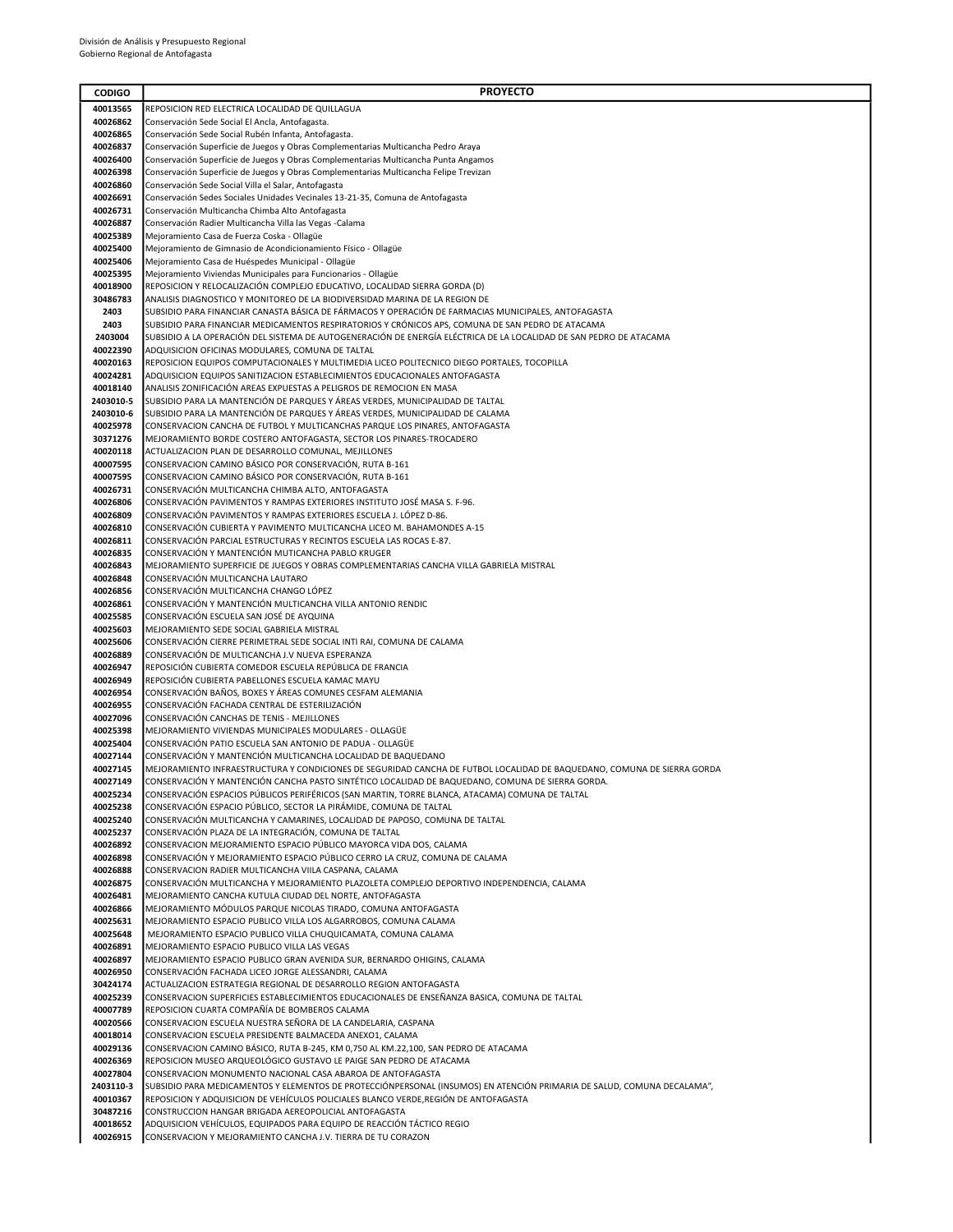| <b>CODIGO</b>        | <b>PROYECTO</b>                                                                                                                                                              |
|----------------------|------------------------------------------------------------------------------------------------------------------------------------------------------------------------------|
| 40013565             | REPOSICION RED ELECTRICA LOCALIDAD DE QUILLAGUA                                                                                                                              |
| 40026862             | Conservación Sede Social El Ancla, Antofagasta.                                                                                                                              |
| 40026865             | Conservación Sede Social Rubén Infanta, Antofagasta.                                                                                                                         |
| 40026837             | Conservación Superficie de Juegos y Obras Complementarias Multicancha Pedro Araya                                                                                            |
| 40026400<br>40026398 | Conservación Superficie de Juegos y Obras Complementarias Multicancha Punta Angamos<br>Conservación Superficie de Juegos y Obras Complementarias Multicancha Felipe Trevizan |
| 40026860             | Conservación Sede Social Villa el Salar, Antofagasta                                                                                                                         |
| 40026691             | Conservación Sedes Sociales Unidades Vecinales 13-21-35, Comuna de Antofagasta                                                                                               |
| 40026731             | Conservación Multicancha Chimba Alto Antofagasta                                                                                                                             |
| 40026887             | Conservación Radier Multicancha Villa las Vegas -Calama                                                                                                                      |
| 40025389             | Mejoramiento Casa de Fuerza Coska - Ollagüe                                                                                                                                  |
| 40025400<br>40025406 | Mejoramiento de Gimnasio de Acondicionamiento Físico - Ollagüe                                                                                                               |
| 40025395             | Mejoramiento Casa de Huéspedes Municipal - Ollagüe<br>Mejoramiento Viviendas Municipales para Funcionarios - Ollagüe                                                         |
| 40018900             | REPOSICION Y RELOCALIZACIÓN COMPLEJO EDUCATIVO, LOCALIDAD SIERRA GORDA (D)                                                                                                   |
| 30486783             | ANALISIS DIAGNOSTICO Y MONITOREO DE LA BIODIVERSIDAD MARINA DE LA REGION DE                                                                                                  |
| 2403                 | SUBSIDIO PARA FINANCIAR CANASTA BÁSICA DE FÁRMACOS Y OPERACIÓN DE FARMACIAS MUNICIPALES, ANTOFAGASTA                                                                         |
| 2403                 | SUBSIDIO PARA FINANCIAR MEDICAMENTOS RESPIRATORIOS Y CRÓNICOS APS, COMUNA DE SAN PEDRO DE ATACAMA                                                                            |
| 2403004              | SUBSIDIO A LA OPERACIÓN DEL SISTEMA DE AUTOGENERACIÓN DE ENERGÍA ELÉCTRICA DE LA LOCALIDAD DE SAN PEDRO DE ATACAMA                                                           |
| 40022390<br>40020163 | ADQUISICION OFICINAS MODULARES, COMUNA DE TALTAL<br>REPOSICION EQUIPOS COMPUTACIONALES Y MULTIMEDIA LICEO POLITECNICO DIEGO PORTALES, TOCOPILLA                              |
| 40024281             | ADQUISICION EQUIPOS SANITIZACION ESTABLECIMIENTOS EDUCACIONALES ANTOFAGASTA                                                                                                  |
| 40018140             | ANALISIS ZONIFICACIÓN AREAS EXPUESTAS A PELIGROS DE REMOCION EN MASA                                                                                                         |
| 2403010-5            | SUBSIDIO PARA LA MANTENCIÓN DE PARQUES Y ÁREAS VERDES, MUNICIPALIDAD DE TALTAL                                                                                               |
| 2403010-6            | SUBSIDIO PARA LA MANTENCIÓN DE PARQUES Y ÁREAS VERDES, MUNICIPALIDAD DE CALAMA                                                                                               |
| 40025978             | CONSERVACION CANCHA DE FUTBOL Y MULTICANCHAS PARQUE LOS PINARES, ANTOFAGASTA                                                                                                 |
| 30371276<br>40020118 | MEJORAMIENTO BORDE COSTERO ANTOFAGASTA, SECTOR LOS PINARES-TROCADERO<br>ACTUALIZACION PLAN DE DESARROLLO COMUNAL, MEJILLONES                                                 |
| 40007595             | CONSERVACION CAMINO BÁSICO POR CONSERVACIÓN, RUTA B-161                                                                                                                      |
| 40007595             | CONSERVACION CAMINO BÁSICO POR CONSERVACIÓN, RUTA B-161                                                                                                                      |
| 40026731             | CONSERVACIÓN MULTICANCHA CHIMBA ALTO, ANTOFAGASTA                                                                                                                            |
| 40026806             | CONSERVACIÓN PAVIMENTOS Y RAMPAS EXTERIORES INSTITUTO JOSÉ MASA S. F-96.                                                                                                     |
| 40026809             | CONSERVACIÓN PAVIMENTOS Y RAMPAS EXTERIORES ESCUELA J. LÓPEZ D-86.                                                                                                           |
| 40026810             | CONSERVACIÓN CUBIERTA Y PAVIMENTO MULTICANCHA LICEO M. BAHAMONDES A-15<br>CONSERVACIÓN PARCIAL ESTRUCTURAS Y RECINTOS ESCUELA LAS ROCAS E-87.                                |
| 40026811<br>40026835 | CONSERVACIÓN Y MANTENCIÓN MUTICANCHA PABLO KRUGER                                                                                                                            |
| 40026843             | MEJORAMIENTO SUPERFICIE DE JUEGOS Y OBRAS COMPLEMENTARIAS CANCHA VILLA GABRIELA MISTRAL                                                                                      |
| 40026848             | CONSERVACIÓN MULTICANCHA LAUTARO                                                                                                                                             |
| 40026856             | CONSERVACIÓN MULTICANCHA CHANGO LÓPEZ                                                                                                                                        |
| 40026861             | CONSERVACIÓN Y MANTENCIÓN MULTICANCHA VILLA ANTONIO RENDIC                                                                                                                   |
| 40025585             | CONSERVACIÓN ESCUELA SAN JOSÉ DE AYQUINA                                                                                                                                     |
| 40025603<br>40025606 | MEJORAMIENTO SEDE SOCIAL GABRIELA MISTRAL<br>CONSERVACIÓN CIERRE PERIMETRAL SEDE SOCIAL INTI RAI, COMUNA DE CALAMA                                                           |
| 40026889             | CONSERVACIÓN DE MULTICANCHA J.V NUEVA ESPERANZA                                                                                                                              |
| 40026947             | REPOSICIÓN CUBIERTA COMEDOR ESCUELA REPÚBLICA DE FRANCIA                                                                                                                     |
| 40026949             | REPOSICIÓN CUBIERTA PABELLONES ESCUELA KAMAC MAYU                                                                                                                            |
| 40026954             | CONSERVACIÓN BAÑOS, BOXES Y ÁREAS COMUNES CESFAM ALEMANIA                                                                                                                    |
| 40026955             | CONSERVACIÓN FACHADA CENTRAL DE ESTERILIZACIÓN<br>CONSERVACIÓN CANCHAS DE TENIS - MEJILLONES                                                                                 |
| 40027096<br>40025398 | MEJORAMIENTO VIVIENDAS MUNICIPALES MODULARES - OLLAGÜE                                                                                                                       |
| 40025404             | CONSERVACIÓN PATIO ESCUELA SAN ANTONIO DE PADUA - OLLAGÜE                                                                                                                    |
| 40027144             | CONSERVACIÓN Y MANTENCIÓN MULTICANCHA LOCALIDAD DE BAQUEDANO                                                                                                                 |
| 40027145             | MEJORAMIENTO INFRAESTRUCTURA Y CONDICIONES DE SEGURIDAD CANCHA DE FUTBOL LOCALIDAD DE BAQUEDANO. COMUNA DE SIERRA GORDA                                                      |
| 40027149             | CONSERVACIÓN Y MANTENCIÓN CANCHA PASTO SINTÉTICO LOCALIDAD DE BAQUEDANO, COMUNA DE SIERRA GORDA.                                                                             |
| 40025234             | CONSERVACIÓN ESPACIOS PÚBLICOS PERIFÉRICOS (SAN MARTIN, TORRE BLANCA, ATACAMA) COMUNA DE TALTAL                                                                              |
| 40025238<br>40025240 | CONSERVACIÓN ESPACIO PÚBLICO, SECTOR LA PIRÁMIDE, COMUNA DE TALTAL<br>CONSERVACIÓN MULTICANCHA Y CAMARINES, LOCALIDAD DE PAPOSO, COMUNA DE TALTAL                            |
| 40025237             | CONSERVACIÓN PLAZA DE LA INTEGRACIÓN, COMUNA DE TALTAL                                                                                                                       |
| 40026892             | CONSERVACION MEJORAMIENTO ESPACIO PÚBLICO MAYORCA VIDA DOS, CALAMA                                                                                                           |
| 40026898             | CONSERVACIÓN Y MEJORAMIENTO ESPACIO PÚBLICO CERRO LA CRUZ, COMUNA DE CALAMA                                                                                                  |
| 40026888             | CONSERVACION RADIER MULTICANCHA VIILA CASPANA, CALAMA                                                                                                                        |
| 40026875<br>40026481 | CONSERVACIÓN MULTICANCHA Y MEJORAMIENTO PLAZOLETA COMPLEJO DEPORTIVO INDEPENDENCIA, CALAMA<br>MEJORAMIENTO CANCHA KUTULA CIUDAD DEL NORTE, ANTOFAGASTA                       |
| 40026866             | MEJORAMIENTO MÓDULOS PARQUE NICOLAS TIRADO, COMUNA ANTOFAGASTA                                                                                                               |
| 40025631             | MEJORAMIENTO ESPACIO PUBLICO VILLA LOS ALGARROBOS, COMUNA CALAMA                                                                                                             |
| 40025648             | MEJORAMIENTO ESPACIO PUBLICO VILLA CHUQUICAMATA, COMUNA CALAMA                                                                                                               |
| 40026891             | MEJORAMIENTO ESPACIO PUBLICO VILLA LAS VEGAS                                                                                                                                 |
| 40026897             | MEJORAMIENTO ESPACIO PUBLICO GRAN AVENIDA SUR, BERNARDO OHIGINS, CALAMA                                                                                                      |
| 40026950<br>30424174 | CONSERVACIÓN FACHADA LICEO JORGE ALESSANDRI, CALAMA<br>ACTUALIZACION ESTRATEGIA REGIONAL DE DESARROLLO REGION ANTOFAGASTA                                                    |
| 40025239             | CONSERVACION SUPERFICIES ESTABLECIMIENTOS EDUCACIONALES DE ENSEÑANZA BASICA, COMUNA DE TALTAL                                                                                |
| 40007789             | REPOSICION CUARTA COMPAÑÍA DE BOMBEROS CALAMA                                                                                                                                |
| 40020566             | CONSERVACION ESCUELA NUESTRA SEÑORA DE LA CANDELARIA, CASPANA                                                                                                                |
| 40018014             | CONSERVACION ESCUELA PRESIDENTE BALMACEDA ANEXO1, CALAMA                                                                                                                     |
| 40029136             | CONSERVACION CAMINO BASICO, RUTA B-245, KM 0,750 AL KM 22,100, SAN PEDRO DE ATACAMA                                                                                          |
| 40026369<br>40027804 | REPOSICION MUSEO ARQUEOLÓGICO GUSTAVO LE PAIGE SAN PEDRO DE ATACAMA<br>CONSERVACION MONUMENTO NACIONAL CASA ABAROA DE ANTOFAGASTA                                            |
| 2403110-3            | SUBSIDIO PARA MEDICAMENTOS Y ELEMENTOS DE PROTECCIÓNPERSONAL (INSUMOS) EN ATENCIÓN PRIMARIA DE SALUD, COMUNA DECALAMA",                                                      |
| 40010367             | REPOSICION Y ADQUISICION DE VEHÍCULOS POLICIALES BLANCO VERDE, REGIÓN DE ANTOFAGASTA                                                                                         |
| 30487216             | CONSTRUCCION HANGAR BRIGADA AEREOPOLICIAL ANTOFAGASTA                                                                                                                        |
| 40018652             | ADQUISICION VEHÍCULOS, EQUIPADOS PARA EQUIPO DE REACCIÓN TÁCTICO REGIO                                                                                                       |
| 40026915             | CONSERVACION Y MEJORAMIENTO CANCHA J.V. TIERRA DE TU CORAZON                                                                                                                 |